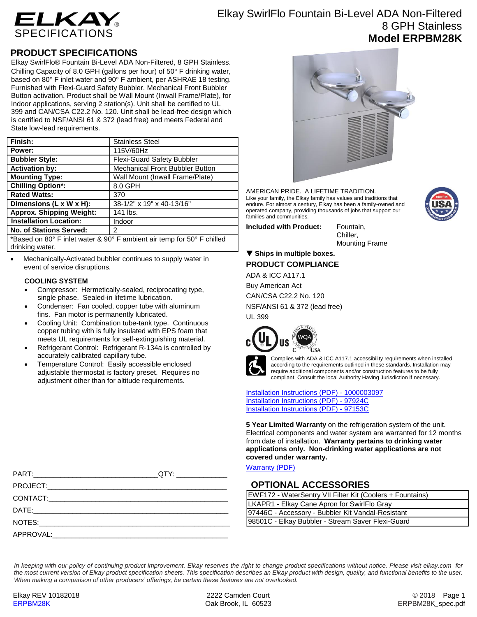

## **PRODUCT SPECIFICATIONS**

Elkay SwirlFlo® Fountain Bi-Level ADA Non-Filtered, 8 GPH Stainless. Chilling Capacity of 8.0 GPH (gallons per hour) of  $50^{\circ}$  F drinking water, based on 80 $\degree$  F inlet water and 90 $\degree$  F ambient, per ASHRAE 18 testing. Furnished with Flexi-Guard Safety Bubbler. Mechanical Front Bubbler Button activation. Product shall be Wall Mount (Inwall Frame/Plate), for Indoor applications, serving 2 station(s). Unit shall be certified to UL 399 and CAN/CSA C22.2 No. 120. Unit shall be lead-free design which is certified to NSF/ANSI 61 & 372 (lead free) and meets Federal and State low-lead requirements.

| Finish:                                                                 | <b>Stainless Steel</b>            |
|-------------------------------------------------------------------------|-----------------------------------|
| Power:                                                                  | 115V/60Hz                         |
| <b>Bubbler Style:</b>                                                   | <b>Flexi-Guard Safety Bubbler</b> |
| <b>Activation by:</b>                                                   | Mechanical Front Bubbler Button   |
| <b>Mounting Type:</b>                                                   | Wall Mount (Inwall Frame/Plate)   |
| <b>Chilling Option*:</b>                                                | 8.0 GPH                           |
| <b>Rated Watts:</b>                                                     | 370                               |
| Dimensions (L x W x H):                                                 | 38-1/2" x 19" x 40-13/16"         |
| <b>Approx. Shipping Weight:</b>                                         | 141 lbs.                          |
| <b>Installation Location:</b>                                           | Indoor                            |
| <b>No. of Stations Served:</b>                                          | 2                                 |
| *Based on 80° F inlet water 8, 90° F ambient air temp for 50° F chilled |                                   |

° F ambient air temp drinking water.

 Mechanically-Activated bubbler continues to supply water in event of service disruptions.

#### **COOLING SYSTEM**

- Compressor: Hermetically-sealed, reciprocating type, single phase. Sealed-in lifetime lubrication.
- Condenser: Fan cooled, copper tube with aluminum fins. Fan motor is permanently lubricated.
- Cooling Unit: Combination tube-tank type. Continuous copper tubing with is fully insulated with EPS foam that meets UL requirements for self-extinguishing material.
- Refrigerant Control: Refrigerant R-134a is controlled by accurately calibrated capillary tube.
- Temperature Control: Easily accessible enclosed adjustable thermostat is factory preset. Requires no adjustment other than for altitude requirements.



AMERICAN PRIDE. A LIFETIME TRADITION. Like your family, the Elkay family has values and traditions that endure. For almost a century, Elkay has been a family-owned and operated company, providing thousands of jobs that support our families and communities.

**Included with Product:** Fountain,

Chiller, Mounting Frame

### **Ships in multiple boxes. PRODUCT COMPLIANCE**

ADA & ICC A117.1

Buy American Act

CAN/CSA C22.2 No. 120

NSF/ANSI 61 & 372 (lead free)

UL 399





Complies with ADA & ICC A117.1 accessibility requirements when installed according to the requirements outlined in these standards. Installation may require additional components and/or construction features to be fully compliant. Consult the local Authority Having Jurisdiction if necessary.

[Installation Instructions \(PDF\) -](http://www.elkay.com/wcsstore/lkdocs/care-cleaning-install-warranty-sheets/1000003097.pdf) 100000309[7](http://www.elkay.com/wcsstore/lkdocs/care-cleaning-install-warranty-sheets/1000003097.pdf) [Installation Instructions \(PDF\) -](http://www.elkay.com/wcsstore/lkdocs/care-cleaning-install-warranty-sheets/97924c.pdf) 97924[C](http://www.elkay.com/wcsstore/lkdocs/care-cleaning-install-warranty-sheets/97924c.pdf) [Installation Instructions \(PDF\) -](http://www.elkay.com/wcsstore/lkdocs/care-cleaning-install-warranty-sheets/97153c.pdf) 97153[C](http://www.elkay.com/wcsstore/lkdocs/care-cleaning-install-warranty-sheets/97153c.pdf)

**5 Year Limited Warranty** on the refrigeration system of the unit. Electrical components and water system are warranted for 12 months from date of installation. **Warranty pertains to drinking water applications only. Non-drinking water applications are not covered under warranty.**

[Warranty](http://www.elkay.com/wcsstore/lkdocs/care-cleaning-install-warranty-sheets/96993c.pdf) (PDF)

# **OPTIONAL ACCESSORIES**

| EWF172 - WaterSentry VII Filter Kit (Coolers + Fountains) |  |
|-----------------------------------------------------------|--|
| LKAPR1 - Elkay Cane Apron for SwirlFlo Gray               |  |
| 97446C - Accessory - Bubbler Kit Vandal-Resistant         |  |
| 98501C - Elkay Bubbler - Stream Saver Flexi-Guard         |  |

*In keeping with our policy of continuing product improvement, Elkay reserves the right to change product specifications without notice. Please visit elkay.com for the most current version of Elkay product specification sheets. This specification describes an Elkay product with design, quality, and functional benefits to the user. When making a comparison of other producers' offerings, be certain these features are not overlooked.* 

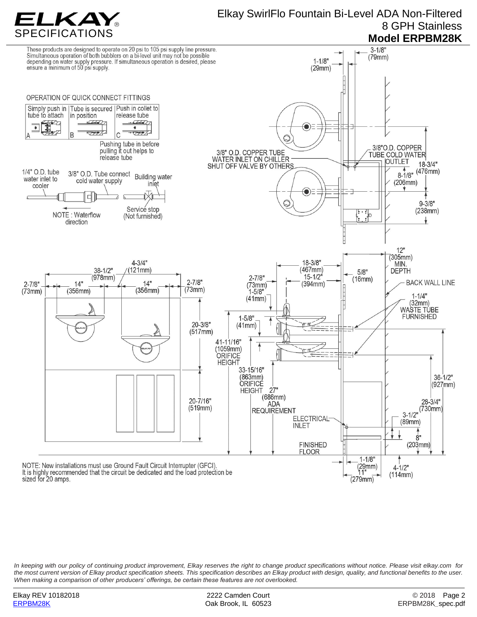

*In keeping with our policy of continuing product improvement, Elkay reserves the right to change product specifications without notice. Please visit elkay.com for the most current version of Elkay product specification sheets. This specification describes an Elkay product with design, quality, and functional benefits to the user. When making a comparison of other producers' offerings, be certain these features are not overlooked.*